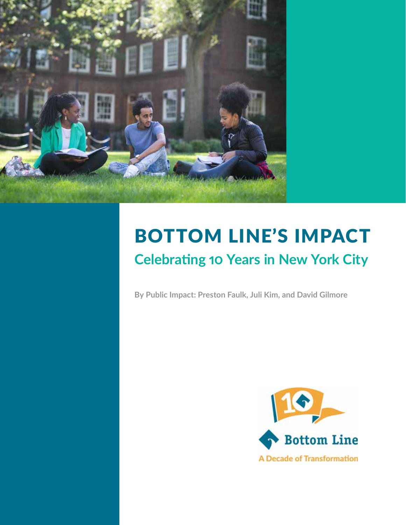

# BOTTOM LINE'S IMPACT **Celebrating 10 Years in New York City**

**By Public Impact: Preston Faulk, Juli Kim, and David Gilmore**

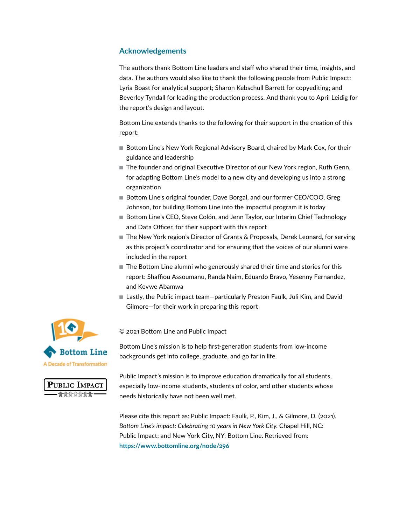### **Acknowledgements**

The authors thank Bottom Line leaders and staff who shared their time, insights, and data. The authors would also like to thank the following people from Public Impact: Lyria Boast for analytical support; Sharon Kebschull Barrett for copyediting; and Beverley Tyndall for leading the production process. And thank you to April Leidig for the report's design and layout.

Bottom Line extends thanks to the following for their support in the creation of this report:

- Bottom Line's New York Regional Advisory Board, chaired by Mark Cox, for their guidance and leadership
- The founder and original Executive Director of our New York region, Ruth Genn, for adapting Bottom Line's model to a new city and developing us into a strong organization
- Bottom Line's original founder, Dave Borgal, and our former CEO/COO, Greg Johnson, for building Bottom Line into the impactful program it is today
- Bottom Line's CEO, Steve Colón, and Jenn Taylor, our Interim Chief Technology and Data Officer, for their support with this report
- The New York region's Director of Grants & Proposals, Derek Leonard, for serving as this project's coordinator and for ensuring that the voices of our alumni were included in the report
- The Bottom Line alumni who generously shared their time and stories for this report: Shaffiou Assoumanu, Randa Naim, Eduardo Bravo, Yesenny Fernandez, and Kevwe Abamwa
- Lastly, the Public impact team—particularly Preston Faulk, Juli Kim, and David Gilmore—for their work in preparing this report





© 2021 Bottom Line and Public Impact

Bottom Line's mission is to help first-generation students from low-income backgrounds get into college, graduate, and go far in life.

Public Impact's mission is to improve education dramatically for all students, especially low-income students, students of color, and other students whose needs historically have not been well met.

Please cite this report as: Public Impact: Faulk, P., Kim, J., & Gilmore, D. (2021). *Bottom Line's impact: Celebrating 10 years in New York City*. Chapel Hill, NC: Public Impact; and New York City, NY: Bottom Line. Retrieved from: **<https://www.bottomline.org/node/296>**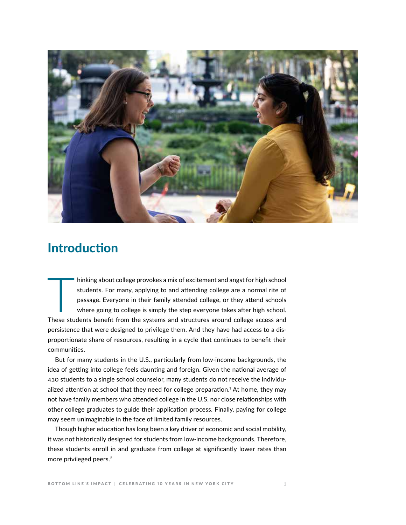

### Introduction

hinking about college provokes a mix of excitement and angst for high school<br>students. For many, applying to and attending college are a normal rite of<br>passage. Everyone in their family attended college, or they attend sch students. For many, applying to and attending college are a normal rite of passage. Everyone in their family attended college, or they attend schools where going to college is simply the step everyone takes after high school. These students benefit from the systems and structures around college access and persistence that were designed to privilege them. And they have had access to a disproportionate share of resources, resulting in a cycle that continues to benefit their communities.

But for many students in the U.S., particularly from low-income backgrounds, the idea of getting into college feels daunting and foreign. Given the national average of 430 students to a single school counselor, many students do not receive the individualized attention at school that they need for college preparation.1 At home, they may not have family members who attended college in the U.S. nor close relationships with other college graduates to guide their application process. Finally, paying for college may seem unimaginable in the face of limited family resources.

Though higher education has long been a key driver of economic and social mobility, it was not historically designed for students from low-income backgrounds. Therefore, these students enroll in and graduate from college at significantly lower rates than more privileged peers.2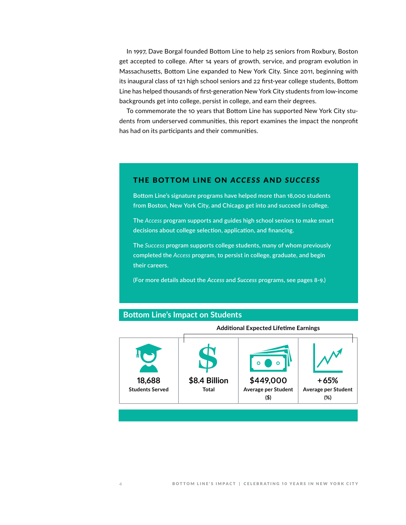In 1997, Dave Borgal founded Bottom Line to help 25 seniors from Roxbury, Boston get accepted to college. After 14 years of growth, service, and program evolution in Massachusetts, Bottom Line expanded to New York City. Since 2011, beginning with its inaugural class of 121 high school seniors and 22 first-year college students, Bottom Line has helped thousands of first-generation New York City students from low-income backgrounds get into college, persist in college, and earn their degrees.

To commemorate the 10 years that Bottom Line has supported New York City students from underserved communities, this report examines the impact the nonprofit has had on its participants and their communities.

#### THE BOTTOM LINE ON *ACCESS* AND *SUCCESS*

**Bottom Line's signature programs have helped more than 18,000 students from Boston, New York City, and Chicago get into and succeed in college.** 

**The** *Access* **program supports and guides high school seniors to make smart decisions about college selection, application, and financing.**

**The** *Success* **program supports college students, many of whom previously completed the** *Access* **program, to persist in college, graduate, and begin their careers.** 

**(For more details about the** *Access* **and** *Success* **programs, see pages 8-9.)**

#### **Bottom Line's Impact on Students**



**Additional Expected Lifetime Earnings**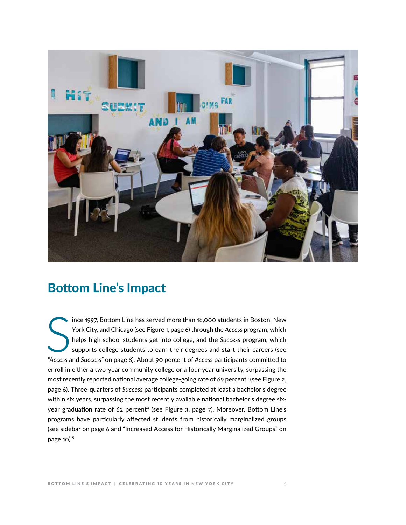

### Bottom Line's Impact

Frank 18,000 students in Boston, New York City, and Chicago (see Figure 1, page 6) through the *Access* program, which helps high school students get into college, and the *Success* program, which supports college students ince 1997, Bottom Line has served more than 18,000 students in Boston, New York City, and Chicago (see Figure 1, page 6) through the *Access* program, which helps high school students get into college, and the *Success* program, which supports college students to earn their degrees and start their careers (see enroll in either a two-year community college or a four-year university, surpassing the most recently reported national average college-going rate of 69 percent<sup>3</sup> (see Figure 2, page 6). Three-quarters of *Success* participants completed at least a bachelor's degree within six years, surpassing the most recently available national bachelor's degree sixyear graduation rate of 62 percent<sup>4</sup> (see Figure 3, page 7). Moreover, Bottom Line's programs have particularly affected students from historically marginalized groups (see sidebar on page 6 and "Increased Access for Historically Marginalized Groups" on page 10).<sup>5</sup>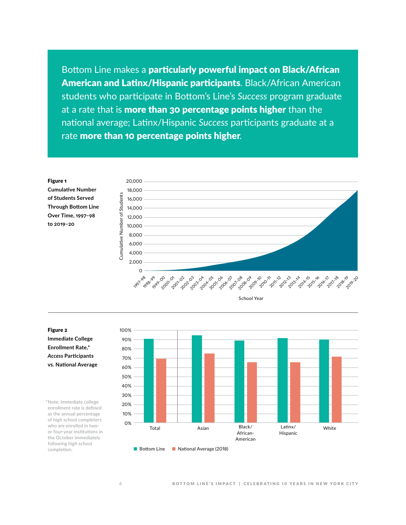Bottom Line makes a particularly powerful impact on Black/African American and Latinx/Hispanic participants. Black/African American students who participate in Bottom's Line's *Success* program graduate at a rate that is more than 30 percentage points higher than the national average; Latinx/Hispanic *Success* participants graduate at a rate more than 10 percentage points higher.



School Year

#### Figure 2 **Immediate College**

**Enrollment Rate,\***  *Access* **Participants vs. National Average**

\*Note: Immediate college enrollment rate is defined as the annual percentage of high school completers who are enrolled in twoor four-year institutions in the October immediately following high school completion.



■ Bottom Line ■ National Average (2018)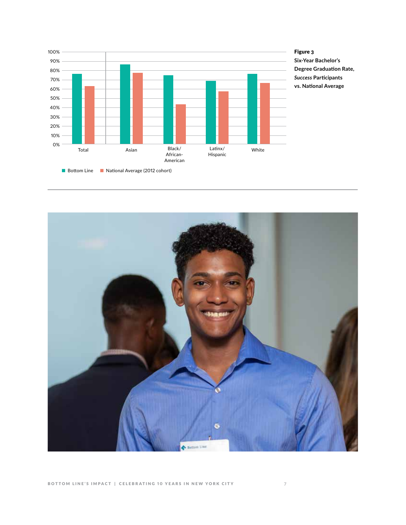

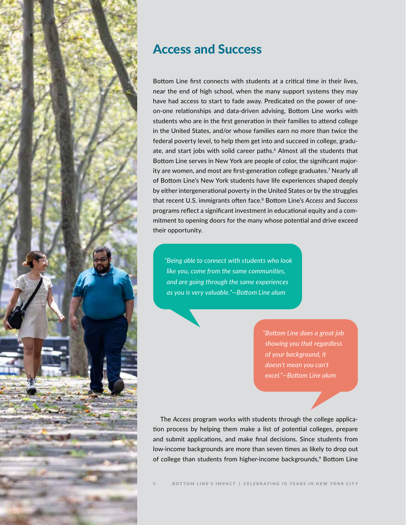

### Access and Success

Bottom Line first connects with students at a critical time in their lives, near the end of high school, when the many support systems they may have had access to start to fade away. Predicated on the power of oneon-one relationships and data-driven advising, Bottom Line works with students who are in the first generation in their families to attend college in the United States, and/or whose families earn no more than twice the federal poverty level, to help them get into and succeed in college, graduate, and start jobs with solid career paths.6 Almost all the students that Bottom Line serves in New York are people of color, the significant majority are women, and most are first-generation college graduates.7 Nearly all of Bottom Line's New York students have life experiences shaped deeply by either intergenerational poverty in the United States or by the struggles that recent U.S. immigrants often face.8 Bottom Line's *Access* and *Success* programs reflect a significant investment in educational equity and a commitment to opening doors for the many whose potential and drive exceed their opportunity.

*"Being able to connect with students who look like you, come from the same communities, and are going through the same experiences as you is very valuable."—Bottom Line alum*

> *"Bottom Line does a great job showing you that regardless of your background, it doesn't mean you can't excel."—Bottom Line alum*

The *Access* program works with students through the college application process by helping them make a list of potential colleges, prepare and submit applications, and make final decisions. Since students from low-income backgrounds are more than seven times as likely to drop out of college than students from higher-income backgrounds,<sup>9</sup> Bottom Line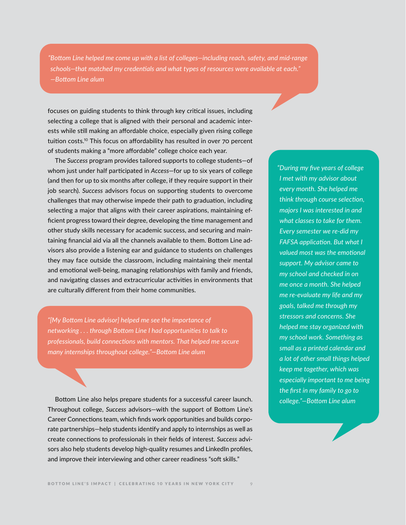*"Bottom Line helped me come up with a list of colleges—including reach, safety, and mid-range schools—that matched my credentials and what types of resources were available at each." —Bottom Line alum*

focuses on guiding students to think through key critical issues, including selecting a college that is aligned with their personal and academic interests while still making an affordable choice, especially given rising college tuition costs.10 This focus on affordability has resulted in over 70 percent of students making a "more affordable" college choice each year.

The *Success* program provides tailored supports to college students—of whom just under half participated in *Access*—for up to six years of college (and then for up to six months after college, if they require support in their job search). *Success* advisors focus on supporting students to overcome challenges that may otherwise impede their path to graduation, including selecting a major that aligns with their career aspirations, maintaining efficient progress toward their degree, developing the time management and other study skills necessary for academic success, and securing and maintaining financial aid via all the channels available to them. Bottom Line advisors also provide a listening ear and guidance to students on challenges they may face outside the classroom, including maintaining their mental and emotional well-being, managing relationships with family and friends, and navigating classes and extracurricular activities in environments that are culturally different from their home communities.

*"[My Bottom Line advisor] helped me see the importance of networking . . . through Bottom Line I had opportunities to talk to professionals, build connections with mentors. That helped me secure many internships throughout college."—Bottom Line alum* 

Bottom Line also helps prepare students for a successful career launch. Throughout college, *Success* advisors—with the support of Bottom Line's Career Connections team, which finds work opportunities and builds corporate partnerships—help students identify and apply to internships as well as create connections to professionals in their fields of interest. *Success* advisors also help students develop high-quality resumes and LinkedIn profiles, and improve their interviewing and other career readiness "soft skills."

*"During my five years of college I met with my advisor about every month. She helped me think through course selection, majors I was interested in and what classes to take for them. Every semester we re-did my FAFSA application. But what I valued most was the emotional support. My advisor came to my school and checked in on me once a month. She helped me re-evaluate my life and my goals, talked me through my stressors and concerns. She helped me stay organized with my school work. Something as small as a printed calendar and a lot of other small things helped keep me together, which was especially important to me being the first in my family to go to college."—Bottom Line alum*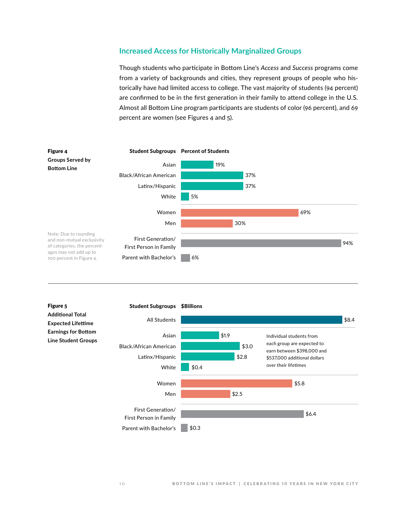#### **Increased Access for Historically Marginalized Groups**

Though students who participate in Bottom Line's *Access* and *Success* programs come from a variety of backgrounds and cities, they represent groups of people who historically have had limited access to college. The vast majority of students (94 percent) are confirmed to be in the first generation in their family to attend college in the U.S. Almost all Bottom Line program participants are students of color (96 percent), and 69 percent are women (see Figures 4 and 5).



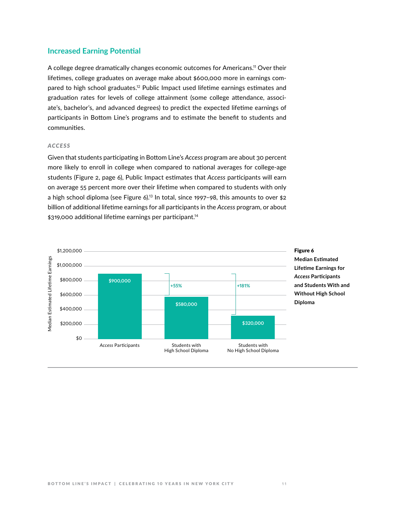#### **Increased Earning Potential**

A college degree dramatically changes economic outcomes for Americans.11 Over their lifetimes, college graduates on average make about \$600,000 more in earnings compared to high school graduates.<sup>12</sup> Public Impact used lifetime earnings estimates and graduation rates for levels of college attainment (some college attendance, associate's, bachelor's, and advanced degrees) to predict the expected lifetime earnings of participants in Bottom Line's programs and to estimate the benefit to students and communities.

#### *ACCESS*

Given that students participating in Bottom Line's *Access* program are about 30 percent more likely to enroll in college when compared to national averages for college-age students (Figure 2, page 6), Public Impact estimates that *Access* participants will earn on average 55 percent more over their lifetime when compared to students with only a high school diploma (see Figure 6).<sup>13</sup> In total, since 1997-98, this amounts to over \$2 billion of additional lifetime earnings for all participants in the *Access* program, or about \$319,000 additional lifetime earnings per participant.<sup>14</sup>

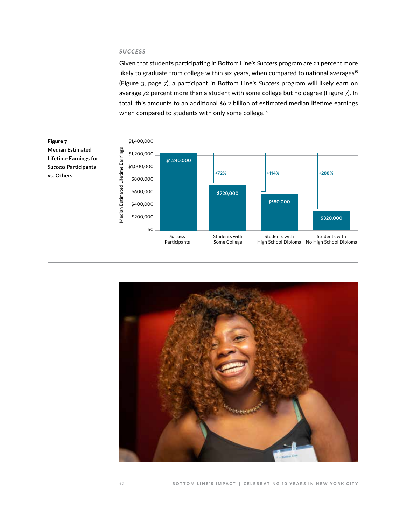#### *SUCCESS*

Given that students participating in Bottom Line's *Success* program are 21 percent more likely to graduate from college within six years, when compared to national averages<sup>15</sup> (Figure 3, page 7), a participant in Bottom Line's *Success* program will likely earn on average 72 percent more than a student with some college but no degree (Figure 7). In total, this amounts to an additional \$6.2 billion of estimated median lifetime earnings when compared to students with only some college.<sup>16</sup>



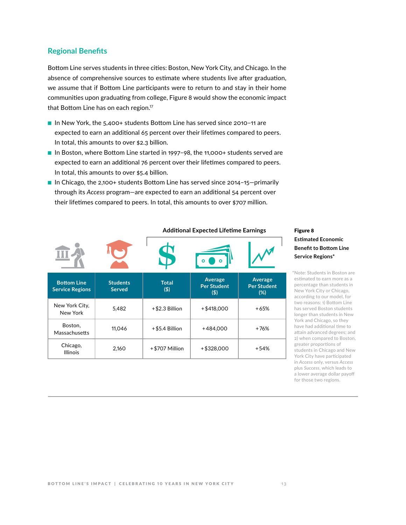#### **Regional Benefits**

Bottom Line serves students in three cities: Boston, New York City, and Chicago. In the absence of comprehensive sources to estimate where students live after graduation, we assume that if Bottom Line participants were to return to and stay in their home communities upon graduating from college, Figure 8 would show the economic impact that Bottom Line has on each region.<sup>17</sup>

- In New York, the 5,400+ students Bottom Line has served since 2010-11 are expected to earn an additional 65 percent over their lifetimes compared to peers. In total, this amounts to over \$2.3 billion.
- In Boston, where Bottom Line started in 1997-98, the 11,000+ students served are expected to earn an additional 76 percent over their lifetimes compared to peers. In total, this amounts to over \$5.4 billion.
- In Chicago, the 2,100+ students Bottom Line has served since 2014-15-primarily through its *Access* program—are expected to earn an additional 54 percent over their lifetimes compared to peers. In total, this amounts to over \$707 million.

|                                              |                                  | <b>Additional Expected Lifetime Earnings</b> |                                          |                                      |
|----------------------------------------------|----------------------------------|----------------------------------------------|------------------------------------------|--------------------------------------|
|                                              |                                  |                                              |                                          |                                      |
| <b>Bottom Line</b><br><b>Service Regions</b> | <b>Students</b><br><b>Served</b> | <b>Total</b><br>(5)                          | Average<br><b>Per Student</b><br>$($ \$) | Average<br><b>Per Student</b><br>(%) |
| New York City,<br>New York                   | 5,482                            | $+$ \$2.3 Billion                            | $+ $418,000$                             | $+65%$                               |
| Boston,<br>Massachusetts                     | 11,046                           | $+$ \$5.4 Billion                            | +484.000                                 | $+76%$                               |
| Chicago,<br><b>Illinois</b>                  | 2,160                            | +\$707 Million                               | $+$ \$328,000                            | $+54%$                               |

#### Figure 8 **Estimated Economic Benefit to Bottom Line Service Regions\***

\*Note: Students in Boston are estimated to earn more as a percentage than students in New York City or Chicago, according to our model, for two reasons: 1) Bottom Line has served Boston students longer than students in New York and Chicago, so they have had additional time to attain advanced degrees; and 2) when compared to Boston, greater proportions of students in Chicago and New York City have participated in *Access* only, versus *Access* plus *Success*, which leads to a lower average dollar payoff for those two regions.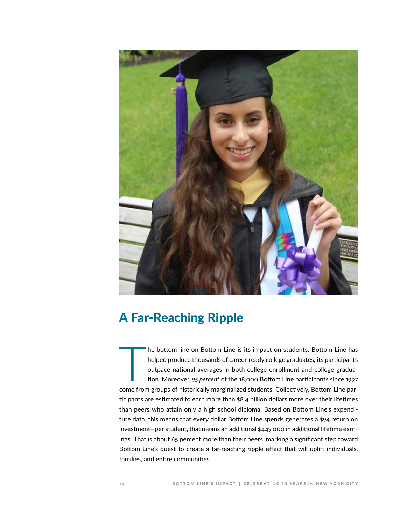

## A Far-Reaching Ripple

The bottom line on Bottom Line is its impact on students. Bottom Line has<br>helped produce thousands of career-ready college graduates; its participants<br>outpace national averages in both college enrollment and college gradua he bottom line on Bottom Line is its impact on students. Bottom Line has helped produce thousands of career-ready college graduates; its participants outpace national averages in both college enrollment and college graduation. Moreover, *95 percent* of the 18,000 Bottom Line participants since 1997 ticipants are estimated to earn more than \$8.4 billion dollars more over their lifetimes than peers who attain only a high school diploma. Based on Bottom Line's expenditure data, this means that every dollar Bottom Line spends generates a \$94 return on investment—per student, that means an additional \$449,000 in additional lifetime earnings. That is about 65 percent more than their peers, marking a significant step toward Bottom Line's quest to create a far-reaching ripple effect that will uplift individuals, families, and entire communities.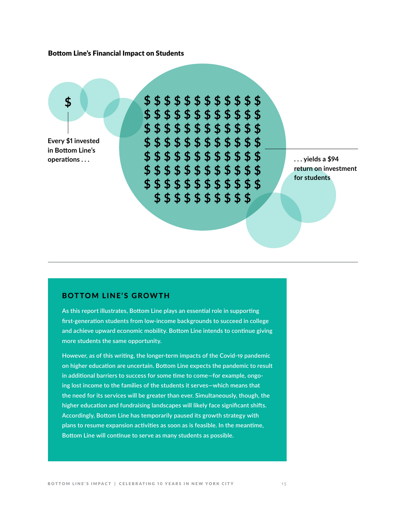#### Bottom Line's Financial Impact on Students

**Every \$1 invested in Bottom Line's** 

**\$ \$ \$ \$ \$ \$ \$ \$ \$ \$ \$ \$ \$ \$ \$ \$ \$ \$ \$ \$ \$ \$ \$ \$ \$ \$ \$ \$ \$ \$ \$ \$ \$ \$ \$ \$ \$ \$ \$ \$ \$ \$ \$ \$ \$ \$ \$ \$ \$ \$ \$ \$ \$ \$ \$ \$ \$ \$ \$ \$ \$ \$ \$ \$ \$ \$ \$ \$ \$ \$ \$ \$ \$ \$ \$ \$ \$ \$ \$ \$ \$ \$ \$ \$ \$ \$ \$ \$ \$ \$ \$ \$ \$ \$ \$ operations ... 1988 1999 10: 1999 10: 5 5 5 5 5 5 5 5 5 5 5 5 5 5 5 6 7 8 9 10: 1999 10: 1999 10: 1999 10: 1999 10: 1999 10: 1999 10: 1999 10: 1999 10: 1999 10: 1999 10: 1999 10: 1999 10: 1999 10: 1999 10: 1999 10: 19** 

**return on investment for students**

#### BOTTOM LINE'S GROWTH

**As this report illustrates, Bottom Line plays an essential role in supporting first-generation students from low-income backgrounds to succeed in college and achieve upward economic mobility. Bottom Line intends to continue giving more students the same opportunity.** 

**However, as of this writing, the longer-term impacts of the Covid-19 pandemic on higher education are uncertain. Bottom Line expects the pandemic to result in additional barriers to success for some time to come—for example, ongoing lost income to the families of the students it serves—which means that the need for its services will be greater than ever. Simultaneously, though, the higher education and fundraising landscapes will likely face significant shifts. Accordingly, Bottom Line has temporarily paused its growth strategy with plans to resume expansion activities as soon as is feasible. In the meantime, Bottom Line will continue to serve as many students as possible.**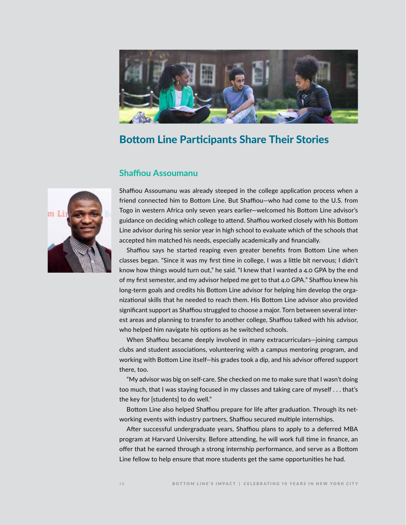

### Bottom Line Participants Share Their Stories

#### **Shaffiou Assoumanu**



Shaffiou Assoumanu was already steeped in the college application process when a friend connected him to Bottom Line. But Shaffiou—who had come to the U.S. from Togo in western Africa only seven years earlier—welcomed his Bottom Line advisor's guidance on deciding which college to attend. Shaffiou worked closely with his Bottom Line advisor during his senior year in high school to evaluate which of the schools that accepted him matched his needs, especially academically and financially.

Shaffiou says he started reaping even greater benefits from Bottom Line when classes began. "Since it was my first time in college, I was a little bit nervous; I didn't know how things would turn out," he said. "I knew that I wanted a 4.0 GPA by the end of my first semester, and my advisor helped me get to that 4.0 GPA." Shaffiou knew his long-term goals and credits his Bottom Line advisor for helping him develop the organizational skills that he needed to reach them. His Bottom Line advisor also provided significant support as Shaffiou struggled to choose a major. Torn between several interest areas and planning to transfer to another college, Shaffiou talked with his advisor, who helped him navigate his options as he switched schools.

When Shaffiou became deeply involved in many extracurriculars—joining campus clubs and student associations, volunteering with a campus mentoring program, and working with Bottom Line itself—his grades took a dip, and his advisor offered support there, too.

"My advisor was big on self-care. She checked on me to make sure that I wasn't doing too much, that I was staying focused in my classes and taking care of myself . . . that's the key for [students] to do well."

Bottom Line also helped Shaffiou prepare for life after graduation. Through its networking events with industry partners, Shaffiou secured multiple internships.

After successful undergraduate years, Shaffiou plans to apply to a deferred MBA program at Harvard University. Before attending, he will work full time in finance, an offer that he earned through a strong internship performance, and serve as a Bottom Line fellow to help ensure that more students get the same opportunities he had.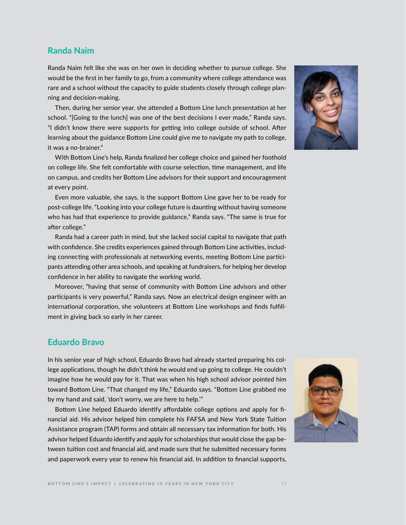#### **Randa Naim**

Randa Naim felt like she was on her own in deciding whether to pursue college. She would be the first in her family to go, from a community where college attendance was rare and a school without the capacity to guide students closely through college planning and decision-making.

Then, during her senior year, she attended a Bottom Line lunch presentation at her school. "[Going to the lunch] was one of the best decisions I ever made," Randa says. "I didn't know there were supports for getting into college outside of school. After learning about the guidance Bottom Line could give me to navigate my path to college, it was a no-brainer."

With Bottom Line's help, Randa finalized her college choice and gained her foothold on college life. She felt comfortable with course selection, time management, and life on campus, and credits her Bottom Line advisors for their support and encouragement at every point.

Even more valuable, she says, is the support Bottom Line gave her to be ready for post-college life. "Looking into your college future is daunting without having someone who has had that experience to provide guidance," Randa says. "The same is true for after college."

Randa had a career path in mind, but she lacked social capital to navigate that path with confidence. She credits experiences gained through Bottom Line activities, including connecting with professionals at networking events, meeting Bottom Line participants attending other area schools, and speaking at fundraisers, for helping her develop confidence in her ability to navigate the working world.

Moreover, "having that sense of community with Bottom Line advisors and other participants is very powerful," Randa says. Now an electrical design engineer with an international corporation, she volunteers at Bottom Line workshops and finds fulfillment in giving back so early in her career.

#### **Eduardo Bravo**

In his senior year of high school, Eduardo Bravo had already started preparing his college applications, though he didn't think he would end up going to college. He couldn't imagine how he would pay for it. That was when his high school advisor pointed him toward Bottom Line. "That changed my life," Eduardo says. "Bottom Line grabbed me by my hand and said, 'don't worry, we are here to help.'"

Bottom Line helped Eduardo identify affordable college options and apply for financial aid. His advisor helped him complete his FAFSA and New York State Tuition Assistance program (TAP) forms and obtain all necessary tax information for both. His advisor helped Eduardo identify and apply for scholarships that would close the gap between tuition cost and financial aid, and made sure that he submitted necessary forms and paperwork every year to renew his financial aid. In addition to financial supports,



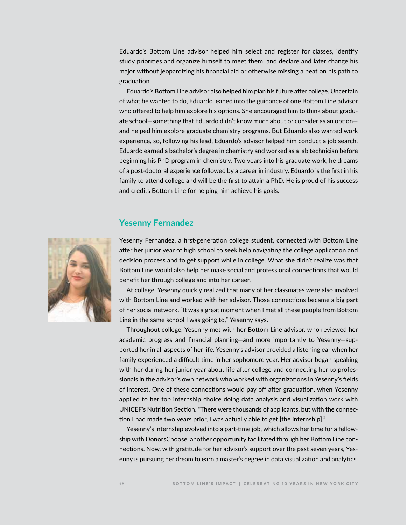Eduardo's Bottom Line advisor helped him select and register for classes, identify study priorities and organize himself to meet them, and declare and later change his major without jeopardizing his financial aid or otherwise missing a beat on his path to graduation.

Eduardo's Bottom Line advisor also helped him plan his future after college. Uncertain of what he wanted to do, Eduardo leaned into the guidance of one Bottom Line advisor who offered to help him explore his options. She encouraged him to think about graduate school—something that Eduardo didn't know much about or consider as an option and helped him explore graduate chemistry programs. But Eduardo also wanted work experience, so, following his lead, Eduardo's advisor helped him conduct a job search. Eduardo earned a bachelor's degree in chemistry and worked as a lab technician before beginning his PhD program in chemistry. Two years into his graduate work, he dreams of a post-doctoral experience followed by a career in industry. Eduardo is the first in his family to attend college and will be the first to attain a PhD. He is proud of his success and credits Bottom Line for helping him achieve his goals.

#### **Yesenny Fernandez**



Yesenny Fernandez, a first-generation college student, connected with Bottom Line after her junior year of high school to seek help navigating the college application and decision process and to get support while in college. What she didn't realize was that Bottom Line would also help her make social and professional connections that would benefit her through college and into her career.

At college, Yesenny quickly realized that many of her classmates were also involved with Bottom Line and worked with her advisor. Those connections became a big part of her social network. "It was a great moment when I met all these people from Bottom Line in the same school I was going to," Yesenny says.

Throughout college, Yesenny met with her Bottom Line advisor, who reviewed her academic progress and financial planning—and more importantly to Yesenny—supported her in all aspects of her life. Yesenny's advisor provided a listening ear when her family experienced a difficult time in her sophomore year. Her advisor began speaking with her during her junior year about life after college and connecting her to professionals in the advisor's own network who worked with organizations in Yesenny's fields of interest. One of these connections would pay off after graduation, when Yesenny applied to her top internship choice doing data analysis and visualization work with UNICEF's Nutrition Section. "There were thousands of applicants, but with the connection I had made two years prior, I was actually able to get [the internship]."

Yesenny's internship evolved into a part-time job, which allows her time for a fellowship with DonorsChoose, another opportunity facilitated through her Bottom Line connections. Now, with gratitude for her advisor's support over the past seven years, Yesenny is pursuing her dream to earn a master's degree in data visualization and analytics.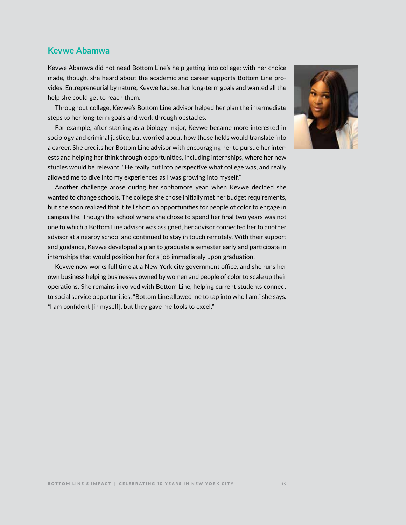#### **Kevwe Abamwa**

Kevwe Abamwa did not need Bottom Line's help getting into college; with her choice made, though, she heard about the academic and career supports Bottom Line provides. Entrepreneurial by nature, Kevwe had set her long-term goals and wanted all the help she could get to reach them.

Throughout college, Kevwe's Bottom Line advisor helped her plan the intermediate steps to her long-term goals and work through obstacles.

For example, after starting as a biology major, Kevwe became more interested in sociology and criminal justice, but worried about how those fields would translate into a career. She credits her Bottom Line advisor with encouraging her to pursue her interests and helping her think through opportunities, including internships, where her new studies would be relevant. "He really put into perspective what college was, and really allowed me to dive into my experiences as I was growing into myself."

Another challenge arose during her sophomore year, when Kevwe decided she wanted to change schools. The college she chose initially met her budget requirements, but she soon realized that it fell short on opportunities for people of color to engage in campus life. Though the school where she chose to spend her final two years was not one to which a Bottom Line advisor was assigned, her advisor connected her to another advisor at a nearby school and continued to stay in touch remotely. With their support and guidance, Kevwe developed a plan to graduate a semester early and participate in internships that would position her for a job immediately upon graduation.

Kevwe now works full time at a New York city government office, and she runs her own business helping businesses owned by women and people of color to scale up their operations. She remains involved with Bottom Line, helping current students connect to social service opportunities. "Bottom Line allowed me to tap into who I am," she says. "I am confident [in myself], but they gave me tools to excel."